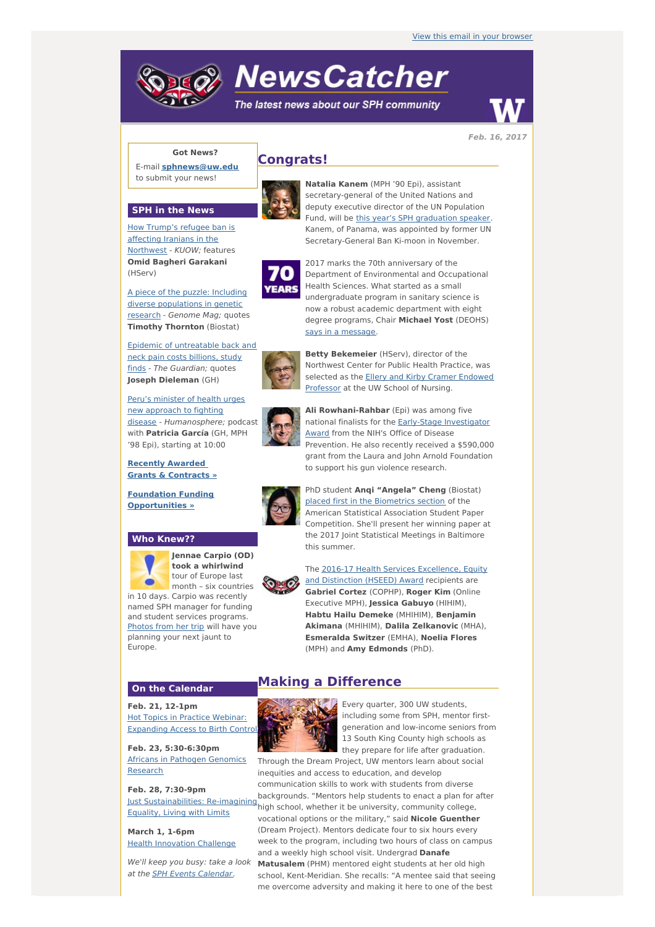# **NewsCatcher**

The latest news about our SPH community



### **Got News?**

E-mail **[sphnews@uw.edu](mailto:sphnews@uw.edu)** to submit your news!



**SPH in the News**

How Trump's refugee ban is affecting Iranians in the [Northwest](http://engage.washington.edu/site/R?i=eVESd7ideoB75BLIqkvPow) - KUOW; features **Omid Bagheri Garakani** (HServ)

A piece of the puzzle: Including diverse [populations](http://engage.washington.edu/site/R?i=Gq9lw_beKsfknX0hJa3bag) in genetic research - Genome Mag; quotes **Timothy Thornton** (Biostat)

Epidemic of [untreatable](http://engage.washington.edu/site/R?i=vL88AX3Fjxg6MFMD1odjRQ) back and neck pain costs billions, study finds - The Guardian; quotes **Joseph Dieleman** (GH)

Peru's minister of health urges new approach to fighting disease - [Humanosphere;](http://engage.washington.edu/site/R?i=0k-4DFasKrI68sP34bSSbA) podcast with **Patricia García** (GH, MPH '98 Epi), starting at 10:00

**Recently Awarded Grants & [Contracts](http://engage.washington.edu/site/R?i=gtdP035V20shzuuHAThChw) »**

**Foundation Funding [Opportunities](http://engage.washington.edu/site/R?i=JBqDHhbhtjRW8w8ReNIVHw) »**

#### **Who Knew??**



**Jennae Carpio (OD) took a whirlwind** tour of Europe last month – six countries

in 10 days. Carpio was recently named SPH manager for funding and student services programs. [Photos](http://engage.washington.edu/site/R?i=eeeg3t2Eza3rxHI0yYUzIQ) from her trip will have you planning your next jaunt to Europe.

#### **On the Calendar**

**Feb. 21, 12-1pm** Hot Topics in Practice Webinar: **[Expanding](http://engage.washington.edu/site/R?i=qjOTGFmdCTPull9qxXPQaw) Access to Birth Control** 

**Feb. 23, 5:30-6:30pm** Africans in Pathogen [Genomics](http://engage.washington.edu/site/R?i=dM4GJpq6oxFHcRuOhVxUXA) Research

**Feb. 28, 7:30-9pm** Just [Sustainabilities:](http://engage.washington.edu/site/R?i=Rh03pLYOsF_OKffDlcUhNw) Re-imagining Equality, Living with Limits

**March 1, 1-6pm Health [Innovation](http://engage.washington.edu/site/R?i=0F8ZZ2wsf-yGiBUPvzROlQ) Challenge** 

at the **SPH Events [Calendar](http://engage.washington.edu/site/R?i=4DIe3DgCPhL-yUcaNF-8-A)**.

## **Congrats!**



**Natalia Kanem** (MPH '90 Epi), assistant secretary-general of the United Nations and deputy executive director of the UN Population Fund, will be this year's SPH [graduation](http://engage.washington.edu/site/R?i=QbcHxZJxqSC2KHqXVKbBYg) speaker. Kanem, of Panama, was appointed by former UN Secretary-General Ban Ki-moon in November.



2017 marks the 70th anniversary of the Department of Environmental and Occupational Health Sciences. What started as a small undergraduate program in sanitary science is now a robust academic department with eight degree programs, Chair **Michael Yost** (DEOHS) says in a [message](http://engage.washington.edu/site/R?i=hIi2trAT1eURUUdzjeiLag).



**Betty Bekemeier** (HServ), director of the Northwest Center for Public Health Practice, was selected as the **Ellery and Kirby Cramer [Endowed](http://engage.washington.edu/site/R?i=xkfNfRvNotuUuqpDCHzdaw)** Professor at the UW School of Nursing.



**Ali Rowhani-Rahbar** (Epi) was among five national finalists for the Early-Stage [Investigator](http://engage.washington.edu/site/R?i=NqmHgpBePiefT8iBaNDs8Q) Award from the NIH's Office of Disease Prevention. He also recently received a \$590,000 grant from the Laura and John Arnold Foundation to support his gun violence research.

![](_page_0_Picture_33.jpeg)

PhD student **Anqi "Angela" Cheng** (Biostat) placed first in the [Biometrics](http://engage.washington.edu/site/R?i=8CxU9zx_f4WDXuiipJAuzQ) section of the American Statistical Association Student Paper Competition. She'll present her winning paper at the 2017 Joint Statistical Meetings in Baltimore this summer.

The 2016-17 Health Services [Excellence,](http://engage.washington.edu/site/R?i=IDIT3V8OgzXb2DgoaNpJLw) Equity and Distinction (HSEED) Award recipients are **Gabriel Cortez** (COPHP), **Roger Kim** (Online Executive MPH), **Jessica Gabuyo** (HIHIM), **Habtu Hailu Demeke** (MHIHIM), **Benjamin Akimana** (MHIHIM), **Dalila Zelkanovic** (MHA), **Esmeralda Switzer** (EMHA), **Noelia Flores** (MPH) and **Amy Edmonds** (PhD).

## **Making a Difference**

![](_page_0_Picture_37.jpeg)

Every quarter, 300 UW students, including some from SPH, mentor firstgeneration and low-income seniors from 13 South King County high schools as they prepare for life after graduation.

We'll keep you busy: take a look **Matusalem** (PHM) mentored eight students at her old high Through the Dream Project, UW mentors learn about social inequities and access to education, and develop communication skills to work with students from diverse backgrounds. "Mentors help students to enact a plan for after high school, whether it be university, community college, vocational options or the military," said **Nicole Guenther** (Dream Project). Mentors dedicate four to six hours every week to the program, including two hours of class on campus and a weekly high school visit. Undergrad **Danafe** school, Kent-Meridian. She recalls: "A mentee said that seeing me overcome adversity and making it here to one of the best

![](_page_0_Picture_40.jpeg)